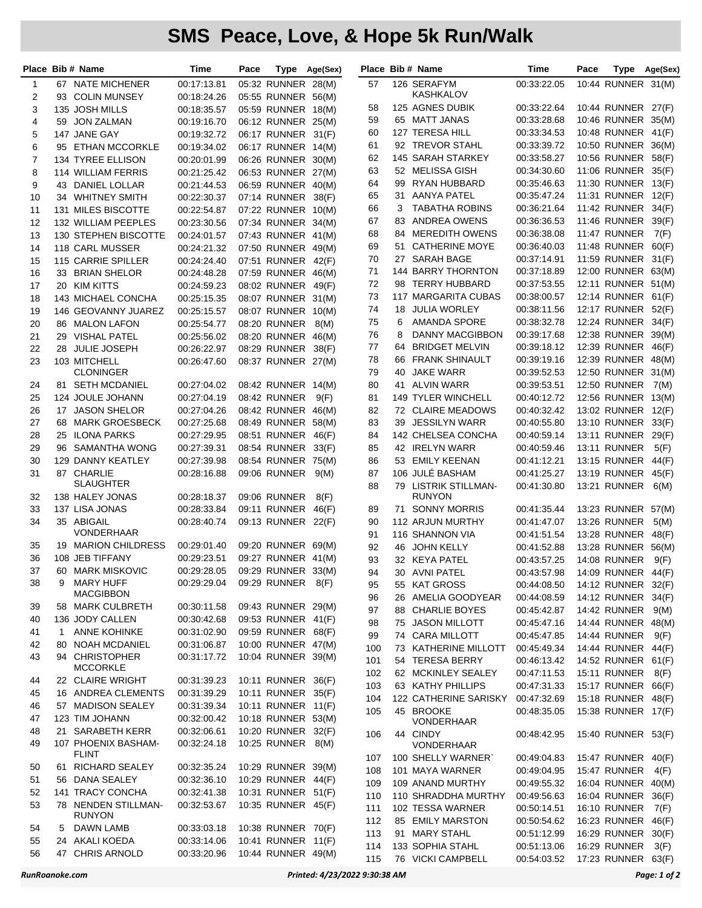## **SMS Peace, Love, & Hope 5k Run/Walk**

|                |    | Place Bib # Name                          | Time        | Pace |                    | Type Age(Sex) |     |   | Place Bib # Name          | Time        | Pace |                                          | Type Age(Sex) |
|----------------|----|-------------------------------------------|-------------|------|--------------------|---------------|-----|---|---------------------------|-------------|------|------------------------------------------|---------------|
| 1              |    | 67 NATE MICHENER                          | 00:17:13.81 |      | 05:32 RUNNER 28(M) |               | 57  |   | 126 SERAFYM               | 00:33:22.05 |      | 10:44 RUNNER 31(M)                       |               |
| 2              |    | 93 COLIN MUNSEY                           | 00:18:24.26 |      | 05:55 RUNNER 56(M) |               |     |   | KASHKALOV                 |             |      |                                          |               |
| 3              |    | 135 JOSH MILLS                            | 00:18:35.57 |      | 05:59 RUNNER 18(M) |               | 58  |   | 125 AGNES DUBIK           | 00:33:22.64 |      | 10:44 RUNNER 27(F)                       |               |
| 4              |    | 59 JON ZALMAN                             | 00:19:16.70 |      | 06:12 RUNNER 25(M) |               | 59  |   | 65 MATT JANAS             | 00:33:28.68 |      | 10:46 RUNNER 35(M)                       |               |
| 5              |    | 147 JANE GAY                              | 00:19:32.72 |      | 06:17 RUNNER 31(F) |               | 60  |   | 127 TERESA HILL           | 00:33:34.53 |      | 10:48 RUNNER 41(F)                       |               |
| 6              |    | 95 ETHAN MCCORKLE                         | 00:19:34.02 |      | 06:17 RUNNER 14(M) |               | 61  |   | 92 TREVOR STAHL           | 00:33:39.72 |      | 10:50 RUNNER 36(M)                       |               |
| $\overline{7}$ |    | 134 TYREE ELLISON                         | 00:20:01.99 |      | 06:26 RUNNER 30(M) |               | 62  |   | 145 SARAH STARKEY         | 00:33:58.27 |      | 10:56 RUNNER 58(F)                       |               |
| 8              |    | 114 WILLIAM FERRIS                        | 00:21:25.42 |      | 06:53 RUNNER 27(M) |               | 63  |   | 52 MELISSA GISH           | 00:34:30.60 |      | 11:06 RUNNER 35(F)                       |               |
| 9              |    | 43 DANIEL LOLLAR                          | 00:21:44.53 |      | 06:59 RUNNER 40(M) |               | 64  |   | 99 RYAN HUBBARD           | 00:35:46.63 |      | 11:30 RUNNER 13(F)                       |               |
| 10             |    | 34 WHITNEY SMITH                          | 00:22:30.37 |      | 07:14 RUNNER       |               | 65  |   | 31 AANYA PATEL            | 00:35:47.24 |      | 11:31 RUNNER 12(F)                       |               |
|                |    |                                           |             |      |                    | 38(F)         | 66  | 3 | <b>TABATHA ROBINS</b>     | 00:36:21.64 |      | 11:42 RUNNER 34(F)                       |               |
| 11             |    | 131 MILES BISCOTTE<br>132 WILLIAM PEEPLES | 00:22:54.87 |      | 07:22 RUNNER 10(M) |               | 67  |   | 83 ANDREA OWENS           | 00:36:36.53 |      | 11:46 RUNNER                             | 39(F)         |
| 12             |    |                                           | 00:23:30.56 |      | 07:34 RUNNER 34(M) |               | 68  |   | 84 MEREDITH OWENS         | 00:36:38.08 |      | 11:47 RUNNER                             | 7(F)          |
| 13             |    | 130 STEPHEN BISCOTTE                      | 00:24:01.57 |      | 07:43 RUNNER 41(M) |               | 69  |   | 51 CATHERINE MOYE         | 00:36:40.03 |      | 11:48 RUNNER 60(F)                       |               |
| 14             |    | 118 CARL MUSSER                           | 00:24:21.32 |      | 07:50 RUNNER 49(M) |               | 70  |   | 27 SARAH BAGE             | 00:37:14.91 |      |                                          |               |
| 15             |    | 115 CARRIE SPILLER                        | 00:24:24.40 |      | 07:51 RUNNER 42(F) |               |     |   | 144 BARRY THORNTON        |             |      | 11:59 RUNNER 31(F)<br>12:00 RUNNER 63(M) |               |
| 16             |    | 33 BRIAN SHELOR                           | 00:24:48.28 |      | 07:59 RUNNER 46(M) |               | 71  |   |                           | 00:37:18.89 |      |                                          |               |
| 17             |    | 20 KIM KITTS                              | 00:24:59.23 |      | 08:02 RUNNER       | 49(F)         | 72  |   | 98 TERRY HUBBARD          | 00:37:53.55 |      | 12:11 RUNNER 51(M)                       |               |
| 18             |    | <b>143 MICHAEL CONCHA</b>                 | 00:25:15.35 |      | 08:07 RUNNER 31(M) |               | 73  |   | 117 MARGARITA CUBAS       | 00:38:00.57 |      | 12:14 RUNNER 61(F)                       |               |
| 19             |    | <b>146 GEOVANNY JUAREZ</b>                | 00:25:15.57 |      | 08:07 RUNNER 10(M) |               | 74  |   | 18 JULIA WORLEY           | 00:38:11.56 |      | 12:17 RUNNER 52(F)                       |               |
| 20             |    | 86 MALON LAFON                            | 00:25:54.77 |      | 08:20 RUNNER       | 8(M)          | 75  | 6 | <b>AMANDA SPORE</b>       | 00:38:32.78 |      | 12:24 RUNNER 34(F)                       |               |
| 21             |    | 29 VISHAL PATEL                           | 00:25:56.02 |      | 08:20 RUNNER 46(M) |               | 76  | 8 | <b>DANNY MACGIBBON</b>    | 00:39:17.68 |      | 12:38 RUNNER 39(M)                       |               |
| 22             |    | 28 JULIE JOSEPH                           | 00:26:22.97 |      | 08:29 RUNNER       | 38(F)         | 77  |   | 64 BRIDGET MELVIN         | 00:39:18.12 |      | 12:39 RUNNER 46(F)                       |               |
| 23             |    | 103 MITCHELL                              | 00:26:47.60 |      | 08:37 RUNNER 27(M) |               | 78  |   | 66 FRANK SHINAULT         | 00:39:19.16 |      | 12:39 RUNNER 48(M)                       |               |
|                |    | <b>CLONINGER</b>                          |             |      |                    |               | 79  |   | 40 JAKE WARR              | 00:39:52.53 |      | 12:50 RUNNER 31(M)                       |               |
| 24             |    | 81 SETH MCDANIEL                          | 00:27:04.02 |      | 08:42 RUNNER 14(M) |               | 80  |   | 41 ALVIN WARR             | 00:39:53.51 |      | 12:50 RUNNER 7(M)                        |               |
| 25             |    | 124 JOULE JOHANN                          | 00:27:04.19 |      | 08:42 RUNNER       | 9(F)          | 81  |   | <b>149 TYLER WINCHELL</b> | 00:40:12.72 |      | 12:56 RUNNER 13(M)                       |               |
| 26             |    | 17 JASON SHELOR                           | 00:27:04.26 |      | 08:42 RUNNER 46(M) |               | 82  |   | 72 CLAIRE MEADOWS         | 00:40:32.42 |      | 13:02 RUNNER 12(F)                       |               |
| 27             |    | 68 MARK GROESBECK                         | 00:27:25.68 |      | 08:49 RUNNER 58(M) |               | 83  |   | 39 JESSILYN WARR          | 00:40:55.80 |      | 13:10 RUNNER 33(F)                       |               |
| 28             |    | 25 ILONA PARKS                            | 00:27:29.95 |      | 08:51 RUNNER       | 46(F)         | 84  |   | 142 CHELSEA CONCHA        | 00:40:59.14 |      | 13:11 RUNNER 29(F)                       |               |
| 29             |    | 96 SAMANTHA WONG                          | 00:27:39.31 |      | 08:54 RUNNER       | 33(F)         | 85  |   | 42 IRELYN WARR            | 00:40:59.46 |      | 13:11 RUNNER                             | 5(F)          |
| 30             |    | 129 DANNY KEATLEY                         | 00:27:39.98 |      | 08:54 RUNNER 75(M) |               | 86  |   | 53 EMILY KEENAN           | 00:41:12.21 |      | 13:15 RUNNER                             | 44(F)         |
| 31             |    | 87 CHARLIE                                | 00:28:16.88 |      | 09:06 RUNNER       | 9(M)          | 87  |   | 106 JULÉ BASHAM           | 00:41:25.27 |      | 13:19 RUNNER                             | 45(F)         |
|                |    | SLAUGHTER                                 |             |      |                    |               | 88  |   | 79 LISTRIK STILLMAN-      | 00:41:30.80 |      | 13:21 RUNNER                             | 6(M)          |
| 32             |    | 138 HALEY JONAS                           | 00:28:18.37 |      | 09:06 RUNNER       | 8(F)          |     |   | <b>RUNYON</b>             |             |      |                                          |               |
| 33             |    | 137 LISA JONAS                            | 00:28:33.84 |      | 09:11 RUNNER 46(F) |               | 89  |   | 71 SONNY MORRIS           | 00:41:35.44 |      | 13:23 RUNNER 57(M)                       |               |
| 34             |    | 35 ABIGAIL                                | 00:28:40.74 |      | 09:13 RUNNER 22(F) |               | 90  |   | 112 ARJUN MURTHY          | 00:41:47.07 |      | <b>13:26 RUNNER</b>                      | 5(M)          |
|                |    | VONDERHAAR                                |             |      |                    |               | 91  |   | 116 SHANNON VIA           | 00:41:51.54 |      | 13:28 RUNNER                             | 48(F)         |
| 35             |    | 19 MARION CHILDRESS                       | 00:29:01.40 |      | 09:20 RUNNER 69(M) |               | 92  |   | 46 JOHN KELLY             | 00:41:52.88 |      | 13:28 RUNNER 56(M)                       |               |
| 36             |    | 108 JEB TIFFANY                           | 00:29:23.51 |      | 09:27 RUNNER 41(M) |               | 93  |   | 32 KEYA PATEL             | 00:43:57.25 |      | 14:08 RUNNER 9(F)                        |               |
| 37             |    | 60 MARK MISKOVIC                          | 00:29:28.05 |      | 09:29 RUNNER 33(M) |               | 94  |   | 30 AVNI PATEL             | 00:43:57.98 |      | 14:09 RUNNER 44(F)                       |               |
| 38             | 9  | <b>MARY HUFF</b>                          | 00:29:29.04 |      | 09:29 RUNNER 8(F)  |               | 95  |   | 55 KAT GROSS              | 00:44:08.50 |      | 14:12 RUNNER 32(F)                       |               |
|                |    | <b>MACGIBBON</b>                          |             |      |                    |               | 96  |   | 26 AMELIA GOODYEAR        | 00:44:08.59 |      | 14:12 RUNNER 34(F)                       |               |
| 39             |    | 58 MARK CULBRETH                          | 00:30:11.58 |      | 09:43 RUNNER 29(M) |               | 97  |   | 88 CHARLIE BOYES          | 00:45:42.87 |      | 14:42 RUNNER 9(M)                        |               |
| 40             |    | 136 JODY CALLEN                           | 00:30:42.68 |      | 09:53 RUNNER 41(F) |               | 98  |   | 75 JASON MILLOTT          | 00:45:47.16 |      | 14:44 RUNNER 48(M)                       |               |
| 41             | 1  | <b>ANNE KOHINKE</b>                       | 00:31:02.90 |      | 09:59 RUNNER 68(F) |               | 99  |   | 74 CARA MILLOTT           | 00:45:47.85 |      | 14:44 RUNNER                             | 9(F)          |
| 42             | 80 | NOAH MCDANIEL                             | 00:31:06.87 |      | 10:00 RUNNER 47(M) |               | 100 |   | 73 KATHERINE MILLOTT      | 00:45:49.34 |      | 14:44 RUNNER 44(F)                       |               |
| 43             |    | 94 CHRISTOPHER                            | 00:31:17.72 |      | 10:04 RUNNER 39(M) |               | 101 |   | 54 TERESA BERRY           |             |      |                                          |               |
|                |    | <b>MCCORKLE</b>                           |             |      |                    |               |     |   |                           | 00:46:13.42 |      | 14:52 RUNNER 61(F)                       |               |
| 44             |    | 22 CLAIRE WRIGHT                          | 00:31:39.23 |      | 10:11 RUNNER 36(F) |               | 102 |   | 62 MCKINLEY SEALEY        | 00:47:11.53 |      | 15:11 RUNNER                             | 8(F)          |
| 45             |    | 16 ANDREA CLEMENTS                        | 00:31:39.29 |      | 10:11 RUNNER 35(F) |               | 103 |   | 63 KATHY PHILLIPS         | 00:47:31.33 |      | 15:17 RUNNER 66(F)                       |               |
| 46             |    | 57 MADISON SEALEY                         | 00:31:39.34 |      | 10:11 RUNNER 11(F) |               | 104 |   | 122 CATHERINE SARISKY     | 00:47:32.69 |      | 15:18 RUNNER 48(F)                       |               |
| 47             |    | 123 TIM JOHANN                            | 00:32:00.42 |      | 10:18 RUNNER 53(M) |               | 105 |   | 45 BROOKE<br>VONDERHAAR   | 00:48:35.05 |      | 15:38 RUNNER 17(F)                       |               |
| 48             |    | 21 SARABETH KERR                          | 00:32:06.61 |      | 10:20 RUNNER 32(F) |               |     |   |                           |             |      |                                          |               |
| 49             |    | 107 PHOENIX BASHAM-                       | 00:32:24.18 |      | 10:25 RUNNER       | 8(M)          | 106 |   | 44 CINDY<br>VONDERHAAR    | 00:48:42.95 |      | 15:40 RUNNER 53(F)                       |               |
|                |    | FLINT                                     |             |      |                    |               |     |   |                           |             |      |                                          |               |
| 50             |    | 61 RICHARD SEALEY                         | 00:32:35.24 |      | 10:29 RUNNER 39(M) |               | 107 |   | 100 SHELLY WARNER`        | 00:49:04.83 |      | 15:47 RUNNER 40(F)                       |               |
| 51             |    | 56 DANA SEALEY                            | 00:32:36.10 |      | 10:29 RUNNER 44(F) |               | 108 |   | 101 MAYA WARNER           | 00:49:04.95 |      | 15:47 RUNNER                             | 4(F)          |
| 52             |    | 141 TRACY CONCHA                          | 00:32:41.38 |      | 10:31 RUNNER 51(F) |               | 109 |   | 109 ANAND MURTHY          | 00:49:55.32 |      | 16:04 RUNNER 40(M)                       |               |
| 53             |    | 78 NENDEN STILLMAN-                       | 00:32:53.67 |      | 10:35 RUNNER 45(F) |               | 110 |   | 110 SHRADDHA MURTHY       | 00:49:56.63 |      | 16:04 RUNNER 36(F)                       |               |
|                |    | <b>RUNYON</b>                             |             |      |                    |               | 111 |   | 102 TESSA WARNER          | 00:50:14.51 |      | 16:10 RUNNER                             | 7(F)          |
| 54             | 5  | DAWN LAMB                                 | 00:33:03.18 |      | 10:38 RUNNER 70(F) |               | 112 |   | 85 EMILY MARSTON          | 00:50:54.62 |      | 16:23 RUNNER 46(F)                       |               |
| 55             | 24 | AKALI KOEDA                               | 00:33:14.06 |      | 10:41 RUNNER 11(F) |               | 113 |   | 91 MARY STAHL             | 00:51:12.99 |      | 16:29 RUNNER                             | 30(F)         |
| 56             |    | 47 CHRIS ARNOLD                           | 00:33:20.96 |      | 10:44 RUNNER 49(M) |               | 114 |   | 133 SOPHIA STAHL          | 00:51:13.06 |      | 16:29 RUNNER                             | 3(F)          |
|                |    |                                           |             |      |                    |               | 115 |   | 76 VICKI CAMPBELL         | 00:54:03.52 |      | 17:23 RUNNER 63(F)                       |               |